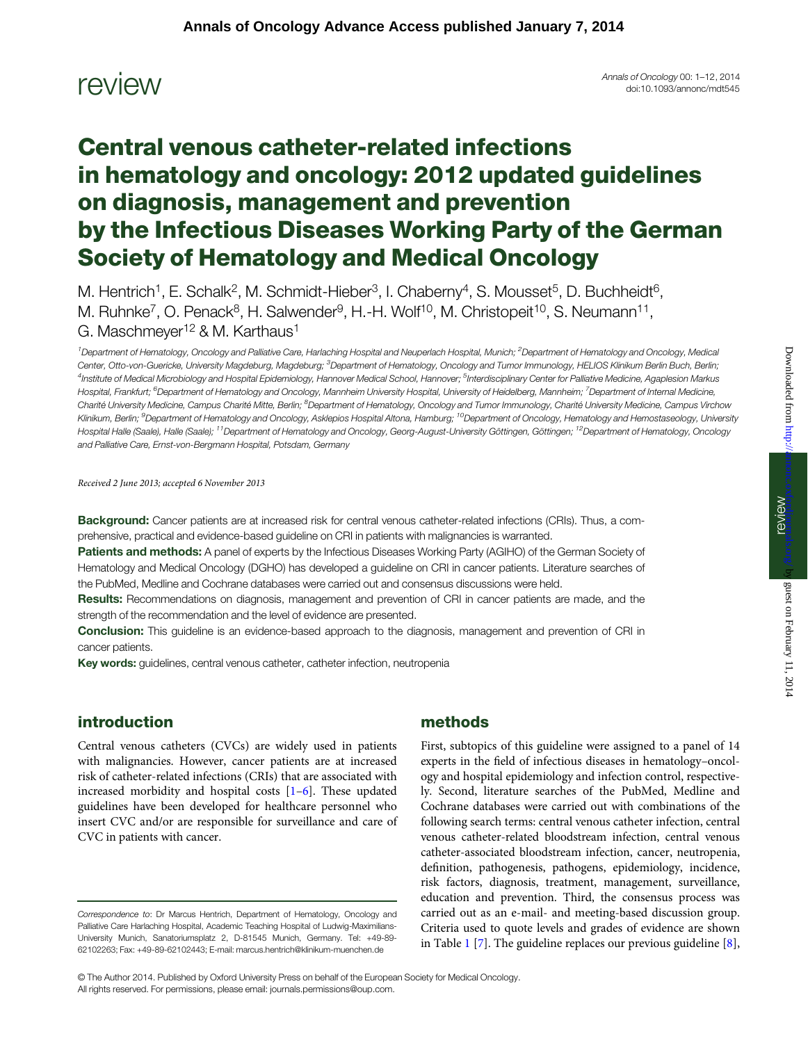$rcovlog <sub>1</sub> = 12, 2014$ <br>Annals of Oncology 00: 1–12, 2014<br>doi:10.1093/annonc/mdt545 doi:10.1093/annonc/mdt545 Annals of Oncology 00: 1-12, 2014

# Central venous catheter-related infections in hematology and oncology: 2012 updated guidelines on diagnosis, management and prevention by the Infectious Diseases Working Party of the German Society of Hematology and Medical Oncology

M. Hentrich<sup>1</sup>, E. Schalk<sup>2</sup>, M. Schmidt-Hieber<sup>3</sup>, I. Chaberny<sup>4</sup>, S. Mousset<sup>5</sup>, D. Buchheidt<sup>6</sup>, M. Ruhnke<sup>7</sup>, O. Penack<sup>8</sup>, H. Salwender<sup>9</sup>, H.-H. Wolf<sup>10</sup>, M. Christopeit<sup>10</sup>, S. Neumann<sup>11</sup>, G. Maschmeyer<sup>12</sup> & M. Karthaus<sup>1</sup>

<sup>1</sup>Department of Hematology, Oncology and Palliative Care, Harlaching Hospital and Neuperlach Hospital, Munich; <sup>2</sup>Department of Hematology and Oncology, Medical Center, Otto-von-Guericke, University Magdeburg, Magdeburg; <sup>3</sup>Department of Hematology, Oncology and Tumor Immunology, HELIOS Klinikum Berlin Buch, Berlin; <sup>4</sup>Institute of Medical Microbiology and Hospital Epidemiology, Hannover Medical School, Hannover; <sup>5</sup>Interdisciplinary Center for Palliative Medicine, Agaplesion Markus Hospital, Frankfurt; <sup>6</sup>Department of Hematology and Oncology, Mannheim University Hospital, University of Heidelberg, Mannheim; <sup>7</sup>Department of Internal Medicine, Charité University Medicine, Campus Charité Mitte, Berlin; <sup>8</sup>Department of Hematology, Oncology and Tumor Immunology, Charité University Medicine, Campus Virchow Klinikum, Berlin; <sup>9</sup>Department of Hematology and Oncology, Asklepios Hospital Altona, Hamburg; <sup>10</sup>Department of Oncology, Hematology and Hemostaseology, University Hospital Halle (Saale), Halle (Saale); <sup>11</sup>Department of Hematology and Oncology, Georg-August-University Göttingen, Göttingen; <sup>12</sup>Department of Hematology, Oncology and Palliative Care, Ernst-von-Bergmann Hospital, Potsdam, Germany

Received 2 June 2013; accepted 6 November 2013

Background: Cancer patients are at increased risk for central venous catheter-related infections (CRIs). Thus, a comprehensive, practical and evidence-based guideline on CRI in patients with malignancies is warranted.

Patients and methods: A panel of experts by the Infectious Diseases Working Party (AGIHO) of the German Society of Hematology and Medical Oncology (DGHO) has developed a guideline on CRI in cancer patients. Literature searches of the PubMed, Medline and Cochrane databases were carried out and consensus discussions were held.

Results: Recommendations on diagnosis, management and prevention of CRI in cancer patients are made, and the strength of the recommendation and the level of evidence are presented.

Conclusion: This guideline is an evidence-based approach to the diagnosis, management and prevention of CRI in cancer patients.

Key words: guidelines, central venous catheter, catheter infection, neutropenia

# introduction

Central venous catheters (CVCs) are widely used in patients with malignancies. However, cancer patients are at increased risk of catheter-related infections (CRIs) that are associated with increased morbidity and hospital costs [[1](#page-7-0)–[6\]](#page-7-0). These updated guidelines have been developed for healthcare personnel who insert CVC and/or are responsible for surveillance and care of CVC in patients with cancer.

# methods

First, subtopics of this guideline were assigned to a panel of 14 experts in the field of infectious diseases in hematology–oncology and hospital epidemiology and infection control, respectively. Second, literature searches of the PubMed, Medline and Cochrane databases were carried out with combinations of the following search terms: central venous catheter infection, central venous catheter-related bloodstream infection, central venous catheter-associated bloodstream infection, cancer, neutropenia, definition, pathogenesis, pathogens, epidemiology, incidence, risk factors, diagnosis, treatment, management, surveillance, education and prevention. Third, the consensus process was carried out as an e-mail- and meeting-based discussion group. Criteria used to quote levels and grades of evidence are shown in Table [1](#page-1-0) [\[7\]](#page-7-0). The guideline replaces our previous guideline [\[8\]](#page-7-0),

© The Author 2014. Published by Oxford University Press on behalf of the European Society for Medical Oncology. All rights reserved. For permissions, please email: journals.permissions@oup.com.

Correspondence to: Dr Marcus Hentrich, Department of Hematology, Oncology and Palliative Care Harlaching Hospital, Academic Teaching Hospital of Ludwig-Maximilians-University Munich, Sanatoriumsplatz 2, D-81545 Munich, Germany. Tel: +49-89- 62102263; Fax: +49-89-62102443; E-mail: marcus.hentrich@klinikum-muenchen.de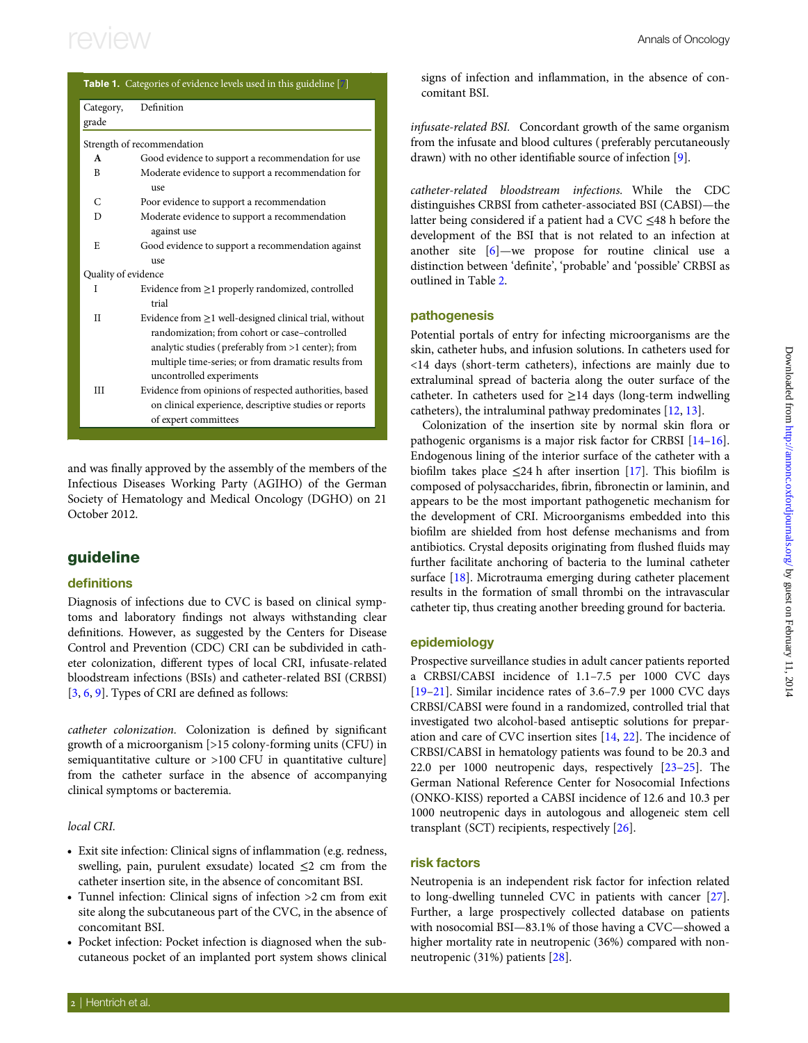<span id="page-1-0"></span>

| <b>Table 1.</b> Categories of evidence levels used in this guideline [7] |                                                                                                                  |  |  |  |
|--------------------------------------------------------------------------|------------------------------------------------------------------------------------------------------------------|--|--|--|
| Category,                                                                | Definition                                                                                                       |  |  |  |
| grade                                                                    |                                                                                                                  |  |  |  |
|                                                                          | Strength of recommendation                                                                                       |  |  |  |
| $\mathbf{A}$                                                             | Good evidence to support a recommendation for use                                                                |  |  |  |
| B                                                                        | Moderate evidence to support a recommendation for<br>use                                                         |  |  |  |
| $\mathsf{C}$                                                             | Poor evidence to support a recommendation                                                                        |  |  |  |
| D                                                                        | Moderate evidence to support a recommendation<br>against use                                                     |  |  |  |
| E                                                                        | Good evidence to support a recommendation against<br>use                                                         |  |  |  |
| Quality of evidence                                                      |                                                                                                                  |  |  |  |
| I                                                                        | Evidence from $\geq$ 1 properly randomized, controlled<br>trial                                                  |  |  |  |
| H                                                                        | Evidence from $\geq$ 1 well-designed clinical trial, without                                                     |  |  |  |
|                                                                          | randomization; from cohort or case-controlled                                                                    |  |  |  |
|                                                                          | analytic studies (preferably from >1 center); from<br>multiple time-series; or from dramatic results from        |  |  |  |
| Ш                                                                        | uncontrolled experiments                                                                                         |  |  |  |
|                                                                          | Evidence from opinions of respected authorities, based<br>on clinical experience, descriptive studies or reports |  |  |  |
|                                                                          | of expert committees                                                                                             |  |  |  |
|                                                                          |                                                                                                                  |  |  |  |

and was finally approved by the assembly of the members of the Infectious Diseases Working Party (AGIHO) of the German Society of Hematology and Medical Oncology (DGHO) on 21 October 2012.

## guideline

### definitions

Diagnosis of infections due to CVC is based on clinical symptoms and laboratory findings not always withstanding clear definitions. However, as suggested by the Centers for Disease Control and Prevention (CDC) CRI can be subdivided in catheter colonization, different types of local CRI, infusate-related bloodstream infections (BSIs) and catheter-related BSI (CRBSI) [[3](#page-7-0), [6,](#page-7-0) [9\]](#page-7-0). Types of CRI are defined as follows:

catheter colonization. Colonization is defined by significant growth of a microorganism [>15 colony-forming units (CFU) in semiquantitative culture or >100 CFU in quantitative culture] from the catheter surface in the absence of accompanying clinical symptoms or bacteremia.

### local CRI.

- Exit site infection: Clinical signs of inflammation (e.g. redness, swelling, pain, purulent exsudate) located  $\leq$ 2 cm from the catheter insertion site, in the absence of concomitant BSI.
- Tunnel infection: Clinical signs of infection >2 cm from exit site along the subcutaneous part of the CVC, in the absence of concomitant BSI.
- Pocket infection: Pocket infection is diagnosed when the subcutaneous pocket of an implanted port system shows clinical

signs of infection and inflammation, in the absence of concomitant BSI.

infusate-related BSI. Concordant growth of the same organism from the infusate and blood cultures ( preferably percutaneously drawn) with no other identifiable source of infection [[9](#page-7-0)].

catheter-related bloodstream infections. While the CDC distinguishes CRBSI from catheter-associated BSI (CABSI)—the latter being considered if a patient had a CVC ≤48 h before the development of the BSI that is not related to an infection at another site [\[6\]](#page-7-0)—we propose for routine clinical use a distinction between 'definite', 'probable' and 'possible' CRBSI as outlined in Table [2](#page-2-0).

### pathogenesis

Potential portals of entry for infecting microorganisms are the skin, catheter hubs, and infusion solutions. In catheters used for <14 days (short-term catheters), infections are mainly due to extraluminal spread of bacteria along the outer surface of the catheter. In catheters used for  $\geq$ 14 days (long-term indwelling catheters), the intraluminal pathway predominates [\[12,](#page-8-0) [13\]](#page-8-0).

Colonization of the insertion site by normal skin flora or pathogenic organisms is a major risk factor for CRBSI [[14](#page-8-0)–[16\]](#page-8-0). Endogenous lining of the interior surface of the catheter with a biofilm takes place  $\leq$ 24 h after insertion [\[17](#page-8-0)]. This biofilm is composed of polysaccharides, fibrin, fibronectin or laminin, and appears to be the most important pathogenetic mechanism for the development of CRI. Microorganisms embedded into this biofilm are shielded from host defense mechanisms and from antibiotics. Crystal deposits originating from flushed fluids may further facilitate anchoring of bacteria to the luminal catheter surface [\[18](#page-8-0)]. Microtrauma emerging during catheter placement results in the formation of small thrombi on the intravascular catheter tip, thus creating another breeding ground for bacteria.

### epidemiology

Prospective surveillance studies in adult cancer patients reported a CRBSI/CABSI incidence of 1.1–7.5 per 1000 CVC days [[19](#page-8-0)–[21\]](#page-8-0). Similar incidence rates of 3.6–7.9 per 1000 CVC days CRBSI/CABSI were found in a randomized, controlled trial that investigated two alcohol-based antiseptic solutions for preparation and care of CVC insertion sites [[14,](#page-8-0) [22\]](#page-8-0). The incidence of CRBSI/CABSI in hematology patients was found to be 20.3 and 22.0 per 1000 neutropenic days, respectively [\[23](#page-8-0)–[25](#page-8-0)]. The German National Reference Center for Nosocomial Infections (ONKO-KISS) reported a CABSI incidence of 12.6 and 10.3 per 1000 neutropenic days in autologous and allogeneic stem cell transplant (SCT) recipients, respectively [[26\]](#page-8-0).

### risk factors

Neutropenia is an independent risk factor for infection related to long-dwelling tunneled CVC in patients with cancer [[27\]](#page-8-0). Further, a large prospectively collected database on patients with nosocomial BSI—83.1% of those having a CVC—showed a higher mortality rate in neutropenic (36%) compared with nonneutropenic (31%) patients [\[28](#page-8-0)].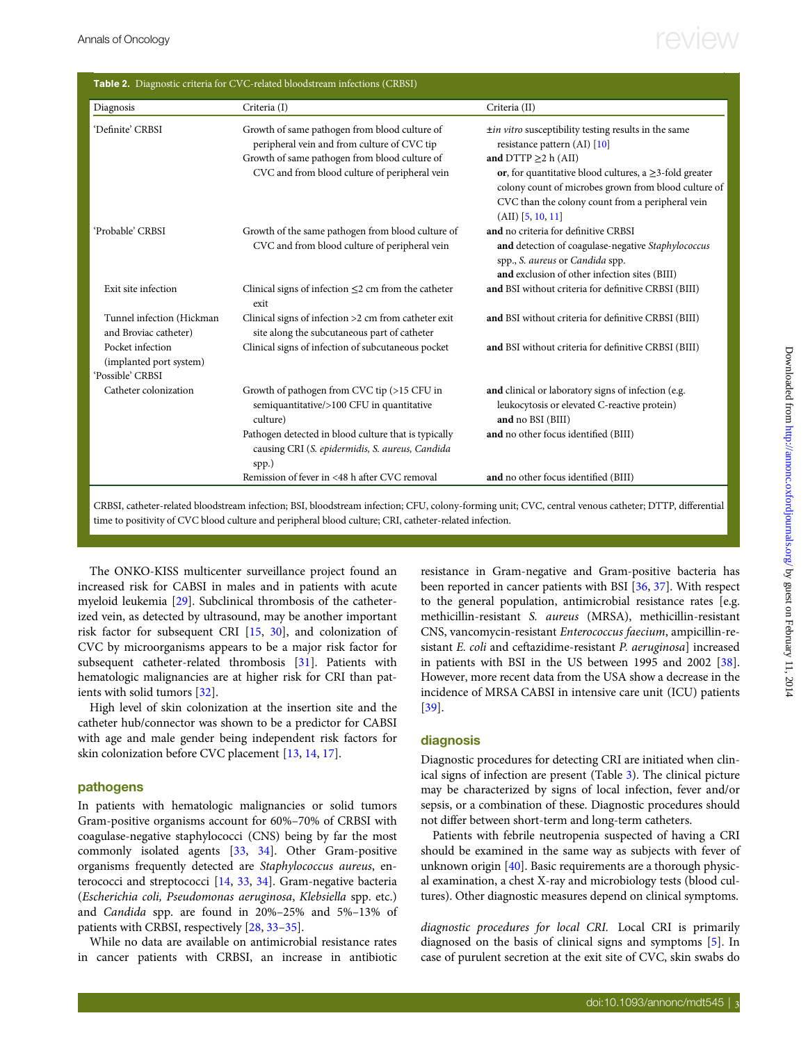# <span id="page-2-0"></span>Annals of Oncology  $r_{\text{eV}}$

| Diagnosis                                                       | Criteria (I)                                                                                                                                                                                   | Criteria (II)                                                                                                                                                                                                                                                                                                        |
|-----------------------------------------------------------------|------------------------------------------------------------------------------------------------------------------------------------------------------------------------------------------------|----------------------------------------------------------------------------------------------------------------------------------------------------------------------------------------------------------------------------------------------------------------------------------------------------------------------|
| 'Definite' CRBSI                                                | Growth of same pathogen from blood culture of<br>peripheral vein and from culture of CVC tip<br>Growth of same pathogen from blood culture of<br>CVC and from blood culture of peripheral vein | ±in vitro susceptibility testing results in the same<br>resistance pattern (AI) [10]<br>and DTTP $\geq$ 2 h (AII)<br>or, for quantitative blood cultures, a $\geq$ 3-fold greater<br>colony count of microbes grown from blood culture of<br>CVC than the colony count from a peripheral vein<br>$(AII)$ [5, 10, 11] |
| 'Probable' CRBSI                                                | Growth of the same pathogen from blood culture of<br>CVC and from blood culture of peripheral vein                                                                                             | and no criteria for definitive CRBSI<br>and detection of coagulase-negative Staphylococcus<br>spp., S. aureus or Candida spp.<br>and exclusion of other infection sites (BIII)                                                                                                                                       |
| Exit site infection                                             | Clinical signs of infection $\leq$ 2 cm from the catheter<br>exit                                                                                                                              | and BSI without criteria for definitive CRBSI (BIII)                                                                                                                                                                                                                                                                 |
| Tunnel infection (Hickman<br>and Broviac catheter)              | Clinical signs of infection >2 cm from catheter exit<br>site along the subcutaneous part of catheter                                                                                           | and BSI without criteria for definitive CRBSI (BIII)                                                                                                                                                                                                                                                                 |
| Pocket infection<br>(implanted port system)<br>'Possible' CRBSI | Clinical signs of infection of subcutaneous pocket                                                                                                                                             | and BSI without criteria for definitive CRBSI (BIII)                                                                                                                                                                                                                                                                 |
| Catheter colonization                                           | Growth of pathogen from CVC tip (>15 CFU in<br>semiquantitative/>100 CFU in quantitative<br>culture)                                                                                           | and clinical or laboratory signs of infection (e.g.<br>leukocytosis or elevated C-reactive protein)<br>and no BSI (BIII)                                                                                                                                                                                             |
|                                                                 | Pathogen detected in blood culture that is typically<br>causing CRI (S. epidermidis, S. aureus, Candida<br>spp.)                                                                               | and no other focus identified (BIII)                                                                                                                                                                                                                                                                                 |
|                                                                 | Remission of fever in <48 h after CVC removal                                                                                                                                                  | and no other focus identified (BIII)                                                                                                                                                                                                                                                                                 |

CRBSI, catheter-related bloodstream infection; BSI, bloodstream infection; CFU, colony-forming unit; CVC, central venous catheter; DTTP, differential time to positivity of CVC blood culture and peripheral blood culture; CRI, catheter-related infection.

The ONKO-KISS multicenter surveillance project found an increased risk for CABSI in males and in patients with acute myeloid leukemia [\[29](#page-8-0)]. Subclinical thrombosis of the catheterized vein, as detected by ultrasound, may be another important risk factor for subsequent CRI [\[15](#page-8-0), [30\]](#page-8-0), and colonization of CVC by microorganisms appears to be a major risk factor for subsequent catheter-related thrombosis [\[31](#page-8-0)]. Patients with hematologic malignancies are at higher risk for CRI than patients with solid tumors [\[32](#page-8-0)].

High level of skin colonization at the insertion site and the catheter hub/connector was shown to be a predictor for CABSI with age and male gender being independent risk factors for skin colonization before CVC placement [[13,](#page-8-0) [14](#page-8-0), [17\]](#page-8-0).

### pathogens

In patients with hematologic malignancies or solid tumors Gram-positive organisms account for 60%–70% of CRBSI with coagulase-negative staphylococci (CNS) being by far the most commonly isolated agents [\[33](#page-8-0), [34\]](#page-8-0). Other Gram-positive organisms frequently detected are Staphylococcus aureus, enterococci and streptococci [[14,](#page-8-0) [33](#page-8-0), [34](#page-8-0)]. Gram-negative bacteria (Escherichia coli, Pseudomonas aeruginosa, Klebsiella spp. etc.) and Candida spp. are found in 20%–25% and 5%–13% of patients with CRBSI, respectively [[28,](#page-8-0) [33](#page-8-0)–[35](#page-8-0)].

While no data are available on antimicrobial resistance rates in cancer patients with CRBSI, an increase in antibiotic resistance in Gram-negative and Gram-positive bacteria has been reported in cancer patients with BSI [[36](#page-8-0), [37\]](#page-8-0). With respect to the general population, antimicrobial resistance rates [e.g. methicillin-resistant S. aureus (MRSA), methicillin-resistant CNS, vancomycin-resistant Enterococcus faecium, ampicillin-resistant E. coli and ceftazidime-resistant P. aeruginosa] increased in patients with BSI in the US between 1995 and 2002 [[38\]](#page-8-0). However, more recent data from the USA show a decrease in the incidence of MRSA CABSI in intensive care unit (ICU) patients [\[39](#page-8-0)].

#### diagnosis

Diagnostic procedures for detecting CRI are initiated when clinical signs of infection are present (Table [3](#page-3-0)). The clinical picture may be characterized by signs of local infection, fever and/or sepsis, or a combination of these. Diagnostic procedures should not differ between short-term and long-term catheters.

Patients with febrile neutropenia suspected of having a CRI should be examined in the same way as subjects with fever of unknown origin [[40\]](#page-8-0). Basic requirements are a thorough physical examination, a chest X-ray and microbiology tests (blood cultures). Other diagnostic measures depend on clinical symptoms.

diagnostic procedures for local CRI. Local CRI is primarily diagnosed on the basis of clinical signs and symptoms [\[5\]](#page-7-0). In case of purulent secretion at the exit site of CVC, skin swabs do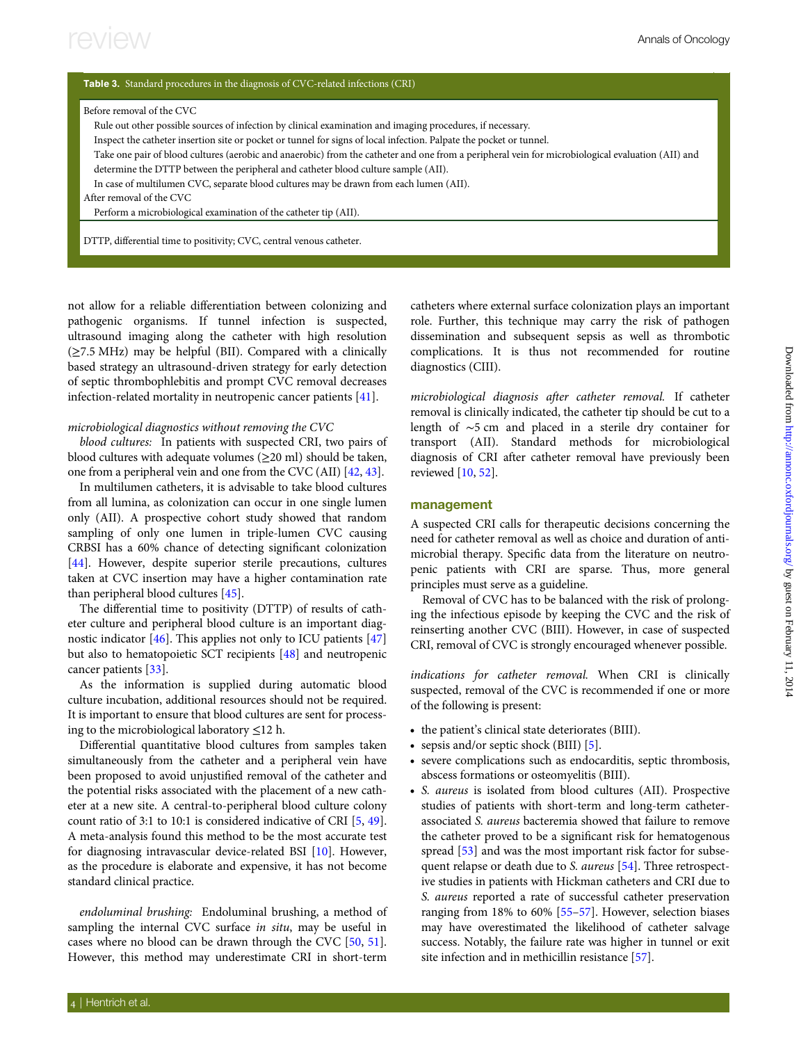#### <span id="page-3-0"></span>Table 3. Standard procedures in the diagnosis of CVC-related infections (CRI)

| Before removal of the CVC |  |  |  |
|---------------------------|--|--|--|
|---------------------------|--|--|--|

Rule out other possible sources of infection by clinical examination and imaging procedures, if necessary.

Inspect the catheter insertion site or pocket or tunnel for signs of local infection. Palpate the pocket or tunnel.

Take one pair of blood cultures (aerobic and anaerobic) from the catheter and one from a peripheral vein for microbiological evaluation (AII) and

determine the DTTP between the peripheral and catheter blood culture sample (AII).

In case of multilumen CVC, separate blood cultures may be drawn from each lumen (AII).

After removal of the CVC

Perform a microbiological examination of the catheter tip (AII).

DTTP, differential time to positivity; CVC, central venous catheter.

not allow for a reliable differentiation between colonizing and pathogenic organisms. If tunnel infection is suspected, ultrasound imaging along the catheter with high resolution (≥7.5 MHz) may be helpful (BII). Compared with a clinically based strategy an ultrasound-driven strategy for early detection of septic thrombophlebitis and prompt CVC removal decreases infection-related mortality in neutropenic cancer patients [[41\]](#page-8-0).

#### microbiological diagnostics without removing the CVC

blood cultures: In patients with suspected CRI, two pairs of blood cultures with adequate volumes ( $\geq$ 20 ml) should be taken, one from a peripheral vein and one from the CVC (AII) [[42,](#page-8-0) [43\]](#page-8-0).

In multilumen catheters, it is advisable to take blood cultures from all lumina, as colonization can occur in one single lumen only (AII). A prospective cohort study showed that random sampling of only one lumen in triple-lumen CVC causing CRBSI has a 60% chance of detecting significant colonization [[44\]](#page-8-0). However, despite superior sterile precautions, cultures taken at CVC insertion may have a higher contamination rate than peripheral blood cultures [[45\]](#page-8-0).

The differential time to positivity (DTTP) of results of catheter culture and peripheral blood culture is an important diagnostic indicator [\[46](#page-8-0)]. This applies not only to ICU patients [[47\]](#page-8-0) but also to hematopoietic SCT recipients [[48](#page-8-0)] and neutropenic cancer patients [\[33](#page-8-0)].

As the information is supplied during automatic blood culture incubation, additional resources should not be required. It is important to ensure that blood cultures are sent for processing to the microbiological laboratory  $\leq$ 12 h.

Differential quantitative blood cultures from samples taken simultaneously from the catheter and a peripheral vein have been proposed to avoid unjustified removal of the catheter and the potential risks associated with the placement of a new catheter at a new site. A central-to-peripheral blood culture colony count ratio of 3:1 to 10:1 is considered indicative of CRI [[5](#page-7-0), [49\]](#page-8-0). A meta-analysis found this method to be the most accurate test for diagnosing intravascular device-related BSI [\[10\]](#page-7-0). However, as the procedure is elaborate and expensive, it has not become standard clinical practice.

endoluminal brushing: Endoluminal brushing, a method of sampling the internal CVC surface in situ, may be useful in cases where no blood can be drawn through the CVC [[50,](#page-8-0) [51\]](#page-8-0). However, this method may underestimate CRI in short-term

catheters where external surface colonization plays an important role. Further, this technique may carry the risk of pathogen dissemination and subsequent sepsis as well as thrombotic complications. It is thus not recommended for routine diagnostics (CIII).

microbiological diagnosis after catheter removal. If catheter removal is clinically indicated, the catheter tip should be cut to a length of ∼5 cm and placed in a sterile dry container for transport (AII). Standard methods for microbiological diagnosis of CRI after catheter removal have previously been reviewed [[10,](#page-7-0) [52](#page-8-0)].

#### management

A suspected CRI calls for therapeutic decisions concerning the need for catheter removal as well as choice and duration of antimicrobial therapy. Specific data from the literature on neutropenic patients with CRI are sparse. Thus, more general principles must serve as a guideline.

Removal of CVC has to be balanced with the risk of prolonging the infectious episode by keeping the CVC and the risk of reinserting another CVC (BIII). However, in case of suspected CRI, removal of CVC is strongly encouraged whenever possible.

indications for catheter removal. When CRI is clinically suspected, removal of the CVC is recommended if one or more of the following is present:

- the patient's clinical state deteriorates (BIII).
- sepsis and/or septic shock (BIII) [\[5\]](#page-7-0).
- severe complications such as endocarditis, septic thrombosis, abscess formations or osteomyelitis (BIII).
- S. aureus is isolated from blood cultures (AII). Prospective studies of patients with short-term and long-term catheterassociated S. aureus bacteremia showed that failure to remove the catheter proved to be a significant risk for hematogenous spread [[53](#page-8-0)] and was the most important risk factor for subsequent relapse or death due to S. aureus [\[54](#page-8-0)]. Three retrospective studies in patients with Hickman catheters and CRI due to S. aureus reported a rate of successful catheter preservation ranging from 18% to 60% [[55](#page-9-0)–[57](#page-9-0)]. However, selection biases may have overestimated the likelihood of catheter salvage success. Notably, the failure rate was higher in tunnel or exit site infection and in methicillin resistance [[57\]](#page-9-0).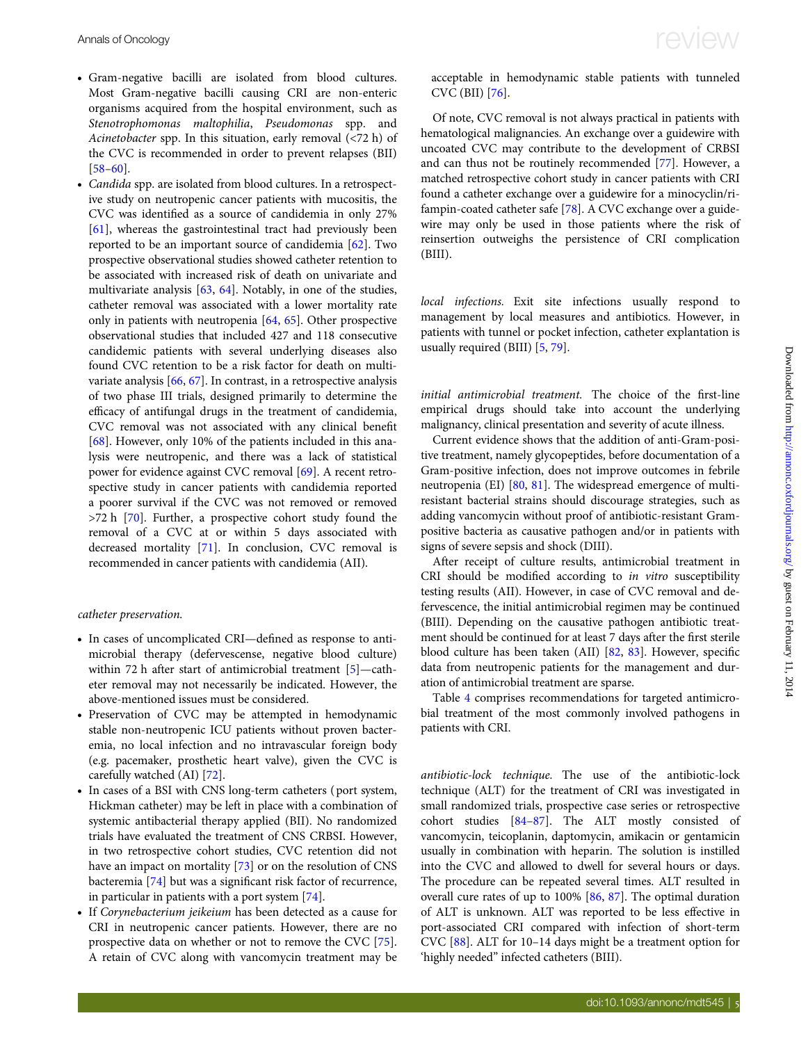- Gram-negative bacilli are isolated from blood cultures. Most Gram-negative bacilli causing CRI are non-enteric organisms acquired from the hospital environment, such as Stenotrophomonas maltophilia, Pseudomonas spp. and Acinetobacter spp. In this situation, early removal (<72 h) of the CVC is recommended in order to prevent relapses (BII) [\[58](#page-9-0)–[60](#page-9-0)].
- Candida spp. are isolated from blood cultures. In a retrospective study on neutropenic cancer patients with mucositis, the CVC was identified as a source of candidemia in only 27% [\[61\]](#page-9-0), whereas the gastrointestinal tract had previously been reported to be an important source of candidemia [[62\]](#page-9-0). Two prospective observational studies showed catheter retention to be associated with increased risk of death on univariate and multivariate analysis [[63](#page-9-0), [64](#page-9-0)]. Notably, in one of the studies, catheter removal was associated with a lower mortality rate only in patients with neutropenia [\[64,](#page-9-0) [65\]](#page-9-0). Other prospective observational studies that included 427 and 118 consecutive candidemic patients with several underlying diseases also found CVC retention to be a risk factor for death on multivariate analysis [[66,](#page-9-0) [67](#page-9-0)]. In contrast, in a retrospective analysis of two phase III trials, designed primarily to determine the efficacy of antifungal drugs in the treatment of candidemia, CVC removal was not associated with any clinical benefit [\[68\]](#page-9-0). However, only 10% of the patients included in this analysis were neutropenic, and there was a lack of statistical power for evidence against CVC removal [[69](#page-9-0)]. A recent retrospective study in cancer patients with candidemia reported a poorer survival if the CVC was not removed or removed >72 h [[70\]](#page-9-0). Further, a prospective cohort study found the removal of a CVC at or within 5 days associated with decreased mortality [[71\]](#page-9-0). In conclusion, CVC removal is recommended in cancer patients with candidemia (AII).

#### catheter preservation.

- In cases of uncomplicated CRI—defined as response to antimicrobial therapy (defervescense, negative blood culture) within 72 h after start of antimicrobial treatment [\[5\]](#page-7-0)—catheter removal may not necessarily be indicated. However, the above-mentioned issues must be considered.
- Preservation of CVC may be attempted in hemodynamic stable non-neutropenic ICU patients without proven bacteremia, no local infection and no intravascular foreign body (e.g. pacemaker, prosthetic heart valve), given the CVC is carefully watched (AI) [\[72\]](#page-9-0).
- In cases of a BSI with CNS long-term catheters ( port system, Hickman catheter) may be left in place with a combination of systemic antibacterial therapy applied (BII). No randomized trials have evaluated the treatment of CNS CRBSI. However, in two retrospective cohort studies, CVC retention did not have an impact on mortality [\[73\]](#page-9-0) or on the resolution of CNS bacteremia [[74](#page-9-0)] but was a significant risk factor of recurrence, in particular in patients with a port system [\[74](#page-9-0)].
- If Corynebacterium jeikeium has been detected as a cause for CRI in neutropenic cancer patients. However, there are no prospective data on whether or not to remove the CVC [[75\]](#page-9-0). A retain of CVC along with vancomycin treatment may be

acceptable in hemodynamic stable patients with tunneled CVC (BII) [\[76](#page-9-0)].

Of note, CVC removal is not always practical in patients with hematological malignancies. An exchange over a guidewire with uncoated CVC may contribute to the development of CRBSI and can thus not be routinely recommended [[77](#page-9-0)]. However, a matched retrospective cohort study in cancer patients with CRI found a catheter exchange over a guidewire for a minocyclin/rifampin-coated catheter safe [[78\]](#page-9-0). A CVC exchange over a guidewire may only be used in those patients where the risk of reinsertion outweighs the persistence of CRI complication (BIII).

local infections. Exit site infections usually respond to management by local measures and antibiotics. However, in patients with tunnel or pocket infection, catheter explantation is usually required (BIII) [[5](#page-7-0), [79\]](#page-9-0).

initial antimicrobial treatment. The choice of the first-line empirical drugs should take into account the underlying malignancy, clinical presentation and severity of acute illness.

Current evidence shows that the addition of anti-Gram-positive treatment, namely glycopeptides, before documentation of a Gram-positive infection, does not improve outcomes in febrile neutropenia (EI) [[80,](#page-9-0) [81](#page-9-0)]. The widespread emergence of multiresistant bacterial strains should discourage strategies, such as adding vancomycin without proof of antibiotic-resistant Grampositive bacteria as causative pathogen and/or in patients with signs of severe sepsis and shock (DIII).

After receipt of culture results, antimicrobial treatment in CRI should be modified according to in vitro susceptibility testing results (AII). However, in case of CVC removal and defervescence, the initial antimicrobial regimen may be continued (BIII). Depending on the causative pathogen antibiotic treatment should be continued for at least 7 days after the first sterile blood culture has been taken (AII) [\[82,](#page-9-0) [83](#page-9-0)]. However, specific data from neutropenic patients for the management and duration of antimicrobial treatment are sparse.

Table [4](#page-5-0) comprises recommendations for targeted antimicrobial treatment of the most commonly involved pathogens in patients with CRI.

antibiotic-lock technique. The use of the antibiotic-lock technique (ALT) for the treatment of CRI was investigated in small randomized trials, prospective case series or retrospective cohort studies [\[84](#page-9-0)–[87](#page-9-0)]. The ALT mostly consisted of vancomycin, teicoplanin, daptomycin, amikacin or gentamicin usually in combination with heparin. The solution is instilled into the CVC and allowed to dwell for several hours or days. The procedure can be repeated several times. ALT resulted in overall cure rates of up to 100% [\[86](#page-9-0), [87](#page-9-0)]. The optimal duration of ALT is unknown. ALT was reported to be less effective in port-associated CRI compared with infection of short-term CVC [\[88](#page-9-0)]. ALT for 10–14 days might be a treatment option for 'highly needed" infected catheters (BIII).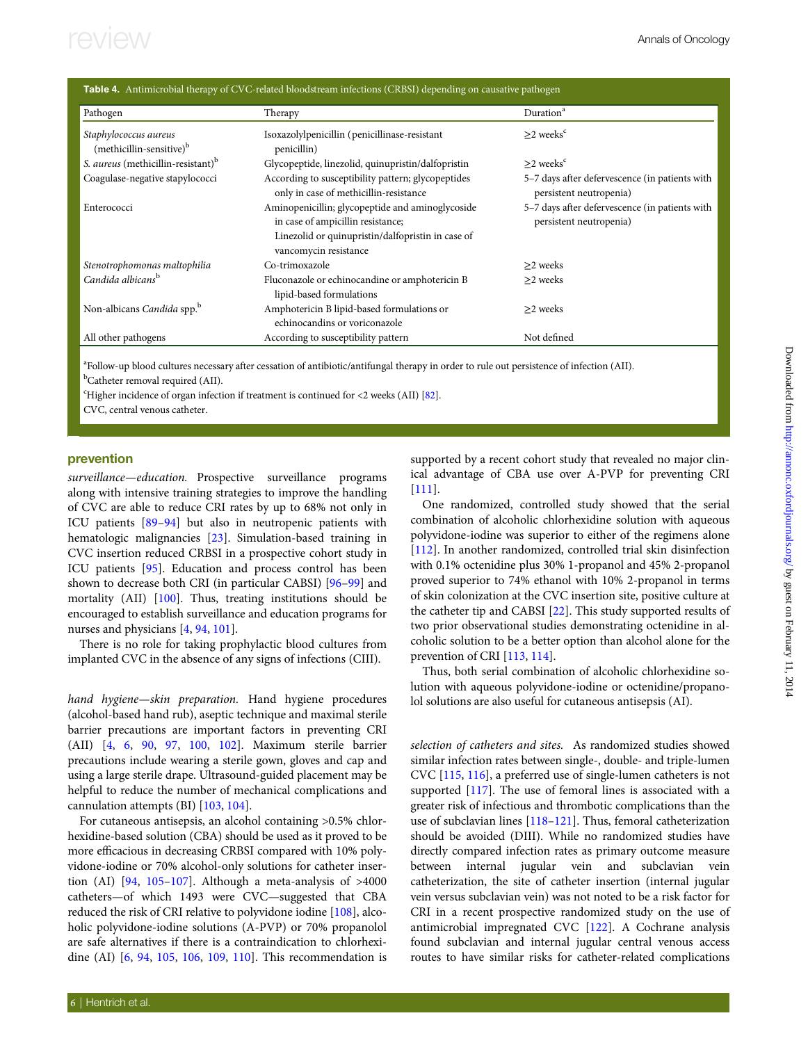<span id="page-5-0"></span>

| <b>Table 4.</b> Antimicrobial therapy of CVC-related bloodstream infections (CRBSI) depending on causative pathogen |                                                                                                                                                                     |                                                                           |  |  |  |
|---------------------------------------------------------------------------------------------------------------------|---------------------------------------------------------------------------------------------------------------------------------------------------------------------|---------------------------------------------------------------------------|--|--|--|
| Pathogen                                                                                                            | Therapy                                                                                                                                                             | Duration <sup>a</sup>                                                     |  |  |  |
| Staphylococcus aureus<br>(methicillin-sensitive) <sup>b</sup>                                                       | Isoxazolylpenicillin (penicillinase-resistant<br>penicillin)                                                                                                        | $>2$ weeks <sup>c</sup>                                                   |  |  |  |
| S. <i>aureus</i> (methicillin-resistant) <sup>b</sup>                                                               | Glycopeptide, linezolid, quinupristin/dalfopristin                                                                                                                  | $>2$ weeks <sup>c</sup>                                                   |  |  |  |
| Coagulase-negative stapylococci                                                                                     | According to susceptibility pattern; glycopeptides<br>only in case of methicillin-resistance                                                                        | 5-7 days after defervescence (in patients with<br>persistent neutropenia) |  |  |  |
| Enterococci                                                                                                         | Aminopenicillin; glycopeptide and aminoglycoside<br>in case of ampicillin resistance;<br>Linezolid or quinupristin/dalfopristin in case of<br>vancomycin resistance | 5-7 days after defervescence (in patients with<br>persistent neutropenia) |  |  |  |
| Stenotrophomonas maltophilia                                                                                        | Co-trimoxazole                                                                                                                                                      | $>2$ weeks                                                                |  |  |  |
| Candida albicans <sup>b</sup>                                                                                       | Fluconazole or echinocandine or amphotericin B<br>lipid-based formulations                                                                                          | >2 weeks                                                                  |  |  |  |
| Non-albicans Candida spp. <sup>b</sup>                                                                              | Amphotericin B lipid-based formulations or<br>echinocandins or voriconazole                                                                                         | >2 weeks                                                                  |  |  |  |
| All other pathogens                                                                                                 | According to susceptibility pattern                                                                                                                                 | Not defined                                                               |  |  |  |

a Follow-up blood cultures necessary after cessation of antibiotic/antifungal therapy in order to rule out persistence of infection (AII). <sup>b</sup>Catheter removal required (AII).

<sup>c</sup>Higher incidence of organ infection if treatment is continued for <2 weeks (AII) [\[82\]](#page-9-0).

CVC, central venous catheter.

### prevention

surveillance—education. Prospective surveillance programs along with intensive training strategies to improve the handling of CVC are able to reduce CRI rates by up to 68% not only in ICU patients [\[89](#page-9-0)–[94\]](#page-9-0) but also in neutropenic patients with hematologic malignancies [\[23](#page-8-0)]. Simulation-based training in CVC insertion reduced CRBSI in a prospective cohort study in ICU patients [[95\]](#page-9-0). Education and process control has been shown to decrease both CRI (in particular CABSI) [[96](#page-9-0)–[99](#page-9-0)] and mortality (AII) [[100\]](#page-10-0). Thus, treating institutions should be encouraged to establish surveillance and education programs for nurses and physicians [\[4,](#page-7-0) [94](#page-9-0), [101](#page-10-0)].

There is no role for taking prophylactic blood cultures from implanted CVC in the absence of any signs of infections (CIII).

hand hygiene—skin preparation. Hand hygiene procedures (alcohol-based hand rub), aseptic technique and maximal sterile barrier precautions are important factors in preventing CRI (AII) [[4](#page-7-0), [6,](#page-7-0) [90,](#page-9-0) [97,](#page-9-0) [100](#page-10-0), [102\]](#page-10-0). Maximum sterile barrier precautions include wearing a sterile gown, gloves and cap and using a large sterile drape. Ultrasound-guided placement may be helpful to reduce the number of mechanical complications and cannulation attempts (BI) [\[103,](#page-10-0) [104\]](#page-10-0).

For cutaneous antisepsis, an alcohol containing >0.5% chlorhexidine-based solution (CBA) should be used as it proved to be more efficacious in decreasing CRBSI compared with 10% polyvidone-iodine or 70% alcohol-only solutions for catheter insertion (AI)  $[94, 105-107]$  $[94, 105-107]$  $[94, 105-107]$  $[94, 105-107]$  $[94, 105-107]$ . Although a meta-analysis of >4000 catheters—of which 1493 were CVC—suggested that CBA reduced the risk of CRI relative to polyvidone iodine [\[108](#page-10-0)], alcoholic polyvidone-iodine solutions (A-PVP) or 70% propanolol are safe alternatives if there is a contraindication to chlorhexidine (AI) [\[6,](#page-7-0) [94](#page-9-0), [105,](#page-10-0) [106,](#page-10-0) [109,](#page-10-0) [110](#page-10-0)]. This recommendation is supported by a recent cohort study that revealed no major clinical advantage of CBA use over A-PVP for preventing CRI [[111](#page-10-0)].

One randomized, controlled study showed that the serial combination of alcoholic chlorhexidine solution with aqueous polyvidone-iodine was superior to either of the regimens alone [[112](#page-10-0)]. In another randomized, controlled trial skin disinfection with 0.1% octenidine plus 30% 1-propanol and 45% 2-propanol proved superior to 74% ethanol with 10% 2-propanol in terms of skin colonization at the CVC insertion site, positive culture at the catheter tip and CABSI [\[22](#page-8-0)]. This study supported results of two prior observational studies demonstrating octenidine in alcoholic solution to be a better option than alcohol alone for the prevention of CRI [[113](#page-10-0), [114](#page-10-0)].

Thus, both serial combination of alcoholic chlorhexidine solution with aqueous polyvidone-iodine or octenidine/propanolol solutions are also useful for cutaneous antisepsis (AI).

selection of catheters and sites. As randomized studies showed similar infection rates between single-, double- and triple-lumen CVC [\[115,](#page-10-0) [116\]](#page-10-0), a preferred use of single-lumen catheters is not supported [\[117](#page-10-0)]. The use of femoral lines is associated with a greater risk of infectious and thrombotic complications than the use of subclavian lines [[118](#page-10-0)–[121\]](#page-10-0). Thus, femoral catheterization should be avoided (DIII). While no randomized studies have directly compared infection rates as primary outcome measure between internal jugular vein and subclavian vein catheterization, the site of catheter insertion (internal jugular vein versus subclavian vein) was not noted to be a risk factor for CRI in a recent prospective randomized study on the use of antimicrobial impregnated CVC [\[122\]](#page-10-0). A Cochrane analysis found subclavian and internal jugular central venous access routes to have similar risks for catheter-related complications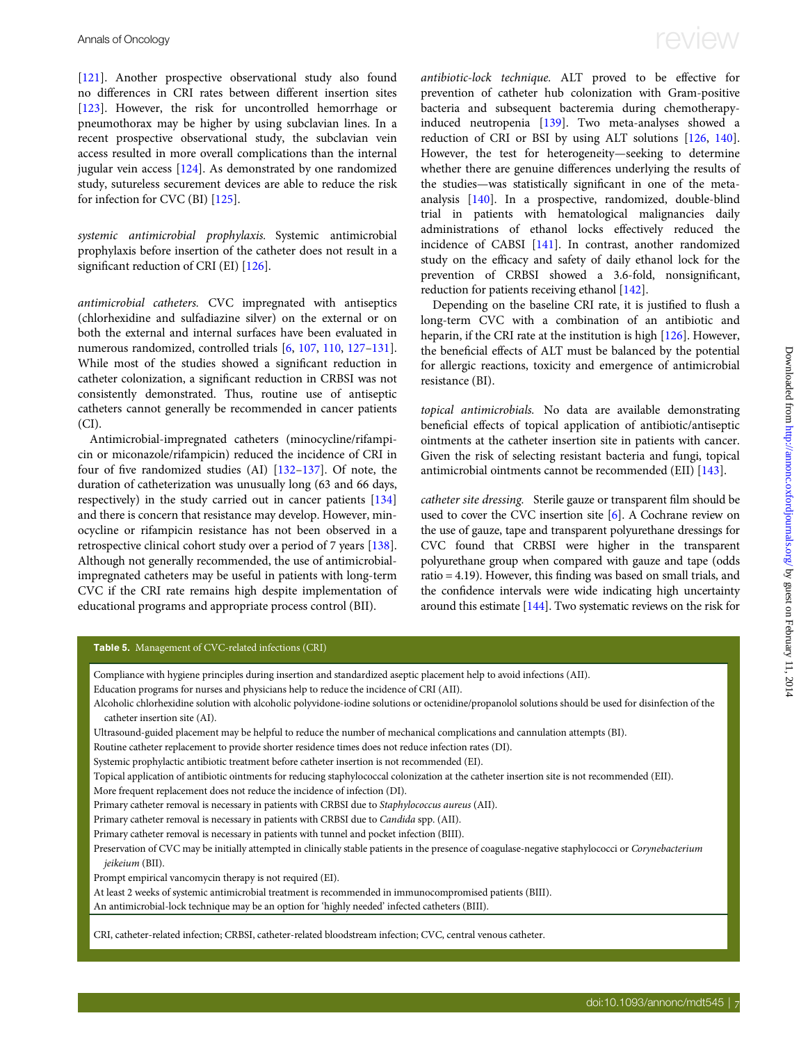[\[121\]](#page-10-0). Another prospective observational study also found no differences in CRI rates between different insertion sites [\[123\]](#page-10-0). However, the risk for uncontrolled hemorrhage or pneumothorax may be higher by using subclavian lines. In a recent prospective observational study, the subclavian vein access resulted in more overall complications than the internal jugular vein access [[124](#page-10-0)]. As demonstrated by one randomized study, sutureless securement devices are able to reduce the risk for infection for CVC (BI) [\[125\]](#page-10-0).

systemic antimicrobial prophylaxis. Systemic antimicrobial prophylaxis before insertion of the catheter does not result in a significant reduction of CRI (EI) [[126](#page-10-0)].

antimicrobial catheters. CVC impregnated with antiseptics (chlorhexidine and sulfadiazine silver) on the external or on both the external and internal surfaces have been evaluated in numerous randomized, controlled trials [[6](#page-7-0), [107,](#page-10-0) [110](#page-10-0), [127](#page-10-0)–[131\]](#page-10-0). While most of the studies showed a significant reduction in catheter colonization, a significant reduction in CRBSI was not consistently demonstrated. Thus, routine use of antiseptic catheters cannot generally be recommended in cancer patients (CI).

Antimicrobial-impregnated catheters (minocycline/rifampicin or miconazole/rifampicin) reduced the incidence of CRI in four of five randomized studies (AI) [[132](#page-10-0)–[137\]](#page-10-0). Of note, the duration of catheterization was unusually long (63 and 66 days, respectively) in the study carried out in cancer patients [\[134\]](#page-10-0) and there is concern that resistance may develop. However, minocycline or rifampicin resistance has not been observed in a retrospective clinical cohort study over a period of 7 years [[138\]](#page-10-0). Although not generally recommended, the use of antimicrobialimpregnated catheters may be useful in patients with long-term CVC if the CRI rate remains high despite implementation of educational programs and appropriate process control (BII).

# <span id="page-6-0"></span>Annals of Oncology  $r_{\text{eV}}$

antibiotic-lock technique. ALT proved to be effective for prevention of catheter hub colonization with Gram-positive bacteria and subsequent bacteremia during chemotherapyinduced neutropenia [\[139\]](#page-10-0). Two meta-analyses showed a reduction of CRI or BSI by using ALT solutions [[126,](#page-10-0) [140\]](#page-10-0). However, the test for heterogeneity—seeking to determine whether there are genuine differences underlying the results of the studies—was statistically significant in one of the metaanalysis [[140](#page-10-0)]. In a prospective, randomized, double-blind trial in patients with hematological malignancies daily administrations of ethanol locks effectively reduced the incidence of CABSI [[141](#page-10-0)]. In contrast, another randomized study on the efficacy and safety of daily ethanol lock for the prevention of CRBSI showed a 3.6-fold, nonsignificant, reduction for patients receiving ethanol [[142](#page-11-0)].

Depending on the baseline CRI rate, it is justified to flush a long-term CVC with a combination of an antibiotic and heparin, if the CRI rate at the institution is high [[126\]](#page-10-0). However, the beneficial effects of ALT must be balanced by the potential for allergic reactions, toxicity and emergence of antimicrobial resistance (BI).

topical antimicrobials. No data are available demonstrating beneficial effects of topical application of antibiotic/antiseptic ointments at the catheter insertion site in patients with cancer. Given the risk of selecting resistant bacteria and fungi, topical antimicrobial ointments cannot be recommended (EII) [[143\]](#page-11-0).

catheter site dressing. Sterile gauze or transparent film should be used to cover the CVC insertion site [[6](#page-7-0)]. A Cochrane review on the use of gauze, tape and transparent polyurethane dressings for CVC found that CRBSI were higher in the transparent polyurethane group when compared with gauze and tape (odds ratio = 4.19). However, this finding was based on small trials, and the confidence intervals were wide indicating high uncertainty around this estimate [[144\]](#page-11-0). Two systematic reviews on the risk for

#### Table 5. Management of CVC-related infections (CRI)

- Compliance with hygiene principles during insertion and standardized aseptic placement help to avoid infections (AII).
- Education programs for nurses and physicians help to reduce the incidence of CRI (AII).
- Alcoholic chlorhexidine solution with alcoholic polyvidone-iodine solutions or octenidine/propanolol solutions should be used for disinfection of the catheter insertion site (AI).
- Ultrasound-guided placement may be helpful to reduce the number of mechanical complications and cannulation attempts (BI).
- Routine catheter replacement to provide shorter residence times does not reduce infection rates (DI).
- Systemic prophylactic antibiotic treatment before catheter insertion is not recommended (EI).
- Topical application of antibiotic ointments for reducing staphylococcal colonization at the catheter insertion site is not recommended (EII).
- More frequent replacement does not reduce the incidence of infection (DI).
- Primary catheter removal is necessary in patients with CRBSI due to Staphylococcus aureus (AII).
- Primary catheter removal is necessary in patients with CRBSI due to Candida spp. (AII).
- Primary catheter removal is necessary in patients with tunnel and pocket infection (BIII).

Preservation of CVC may be initially attempted in clinically stable patients in the presence of coagulase-negative staphylococci or Corynebacterium jeikeium (BII).

- Prompt empirical vancomycin therapy is not required (EI).
- At least 2 weeks of systemic antimicrobial treatment is recommended in immunocompromised patients (BIII).
- An antimicrobial-lock technique may be an option for 'highly needed' infected catheters (BIII).

CRI, catheter-related infection; CRBSI, catheter-related bloodstream infection; CVC, central venous catheter.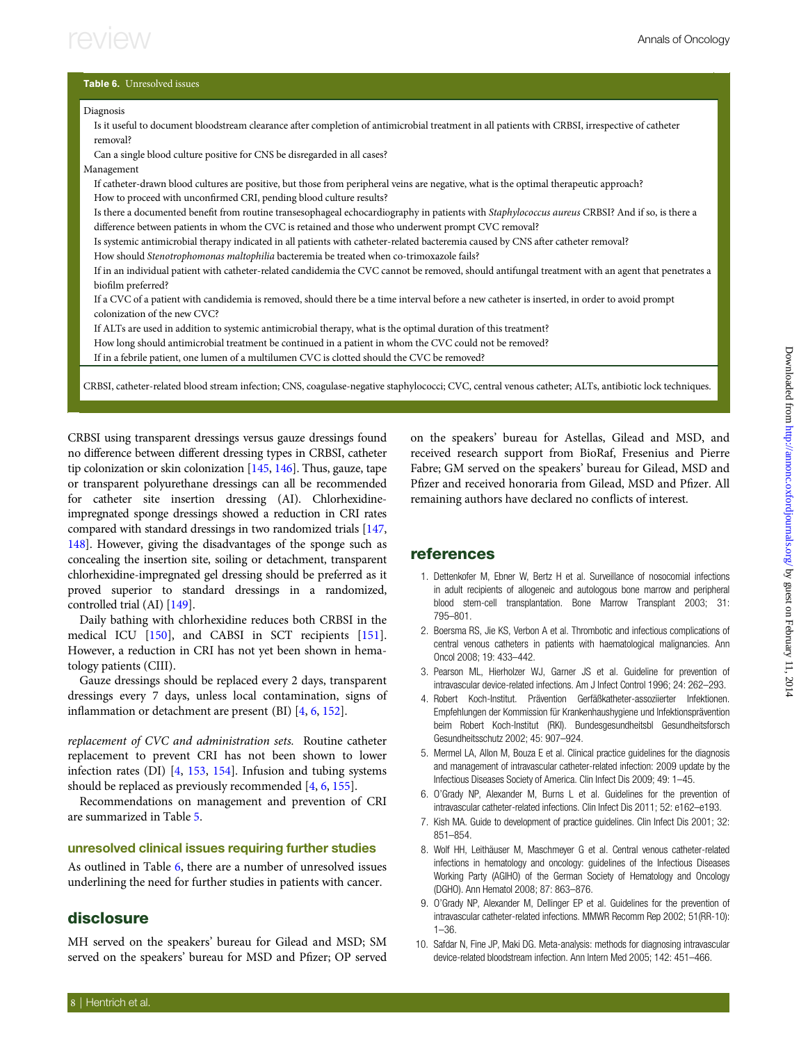### <span id="page-7-0"></span>Table 6. Unresolved issues Diagnosis Is it useful to document bloodstream clearance after completion of antimicrobial treatment in all patients with CRBSI, irrespective of catheter removal? Can a single blood culture positive for CNS be disregarded in all cases? Management If catheter-drawn blood cultures are positive, but those from peripheral veins are negative, what is the optimal therapeutic approach? How to proceed with unconfirmed CRI, pending blood culture results? Is there a documented benefit from routine transesophageal echocardiography in patients with Staphylococcus aureus CRBSI? And if so, is there a difference between patients in whom the CVC is retained and those who underwent prompt CVC removal? Is systemic antimicrobial therapy indicated in all patients with catheter-related bacteremia caused by CNS after catheter removal? How should Stenotrophomonas maltophilia bacteremia be treated when co-trimoxazole fails? If in an individual patient with catheter-related candidemia the CVC cannot be removed, should antifungal treatment with an agent that penetrates a biofilm preferred? If a CVC of a patient with candidemia is removed, should there be a time interval before a new catheter is inserted, in order to avoid prompt colonization of the new CVC? If ALTs are used in addition to systemic antimicrobial therapy, what is the optimal duration of this treatment? How long should antimicrobial treatment be continued in a patient in whom the CVC could not be removed? If in a febrile patient, one lumen of a multilumen CVC is clotted should the CVC be removed?

CRBSI, catheter-related blood stream infection; CNS, coagulase-negative staphylococci; CVC, central venous catheter; ALTs, antibiotic lock techniques.

CRBSI using transparent dressings versus gauze dressings found no difference between different dressing types in CRBSI, catheter tip colonization or skin colonization [[145,](#page-11-0) [146\]](#page-11-0). Thus, gauze, tape or transparent polyurethane dressings can all be recommended for catheter site insertion dressing (AI). Chlorhexidineimpregnated sponge dressings showed a reduction in CRI rates compared with standard dressings in two randomized trials [[147](#page-11-0), [148\]](#page-11-0). However, giving the disadvantages of the sponge such as concealing the insertion site, soiling or detachment, transparent chlorhexidine-impregnated gel dressing should be preferred as it proved superior to standard dressings in a randomized, controlled trial (AI) [\[149\]](#page-11-0).

Daily bathing with chlorhexidine reduces both CRBSI in the medical ICU [\[150\]](#page-11-0), and CABSI in SCT recipients [\[151\]](#page-11-0). However, a reduction in CRI has not yet been shown in hematology patients (CIII).

Gauze dressings should be replaced every 2 days, transparent dressings every 7 days, unless local contamination, signs of inflammation or detachment are present (BI) [4, 6, [152](#page-11-0)].

replacement of CVC and administration sets. Routine catheter replacement to prevent CRI has not been shown to lower infection rates (DI) [4, [153](#page-11-0), [154](#page-11-0)]. Infusion and tubing systems should be replaced as previously recommended [4, 6, [155\]](#page-11-0).

Recommendations on management and prevention of CRI are summarized in Table [5](#page-6-0).

### unresolved clinical issues requiring further studies

As outlined in Table 6, there are a number of unresolved issues underlining the need for further studies in patients with cancer.

### disclosure

MH served on the speakers' bureau for Gilead and MSD; SM served on the speakers' bureau for MSD and Pfizer; OP served on the speakers' bureau for Astellas, Gilead and MSD, and received research support from BioRaf, Fresenius and Pierre Fabre; GM served on the speakers' bureau for Gilead, MSD and Pfizer and received honoraria from Gilead, MSD and Pfizer. All remaining authors have declared no conflicts of interest.

### references

- 1. Dettenkofer M, Ebner W, Bertz H et al. Surveillance of nosocomial infections in adult recipients of allogeneic and autologous bone marrow and peripheral blood stem-cell transplantation. Bone Marrow Transplant 2003; 31: 795–801.
- 2. Boersma RS, Jie KS, Verbon A et al. Thrombotic and infectious complications of central venous catheters in patients with haematological malignancies. Ann Oncol 2008; 19: 433–442.
- 3. Pearson ML, Hierholzer WJ, Garner JS et al. Guideline for prevention of intravascular device-related infections. Am J Infect Control 1996; 24: 262–293.
- 4. Robert Koch-Institut. Prävention Gerfäßkatheter-assoziierter Infektionen. Empfehlungen der Kommission für Krankenhaushygiene und Infektionsprävention beim Robert Koch-Institut (RKI). Bundesgesundheitsbl Gesundheitsforsch Gesundheitsschutz 2002; 45: 907–924.
- 5. Mermel LA, Allon M, Bouza E et al. Clinical practice guidelines for the diagnosis and management of intravascular catheter-related infection: 2009 update by the Infectious Diseases Society of America. Clin Infect Dis 2009; 49: 1–45.
- 6. O'Grady NP, Alexander M, Burns L et al. Guidelines for the prevention of intravascular catheter-related infections. Clin Infect Dis 2011; 52: e162–e193.
- 7. Kish MA. Guide to development of practice guidelines. Clin Infect Dis 2001; 32: 851–854.
- 8. Wolf HH, Leithäuser M, Maschmeyer G et al. Central venous catheter-related infections in hematology and oncology: guidelines of the Infectious Diseases Working Party (AGIHO) of the German Society of Hematology and Oncology (DGHO). Ann Hematol 2008; 87: 863–876.
- 9. O'Grady NP, Alexander M, Dellinger EP et al. Guidelines for the prevention of intravascular catheter-related infections. MMWR Recomm Rep 2002; 51(RR-10): 1–36.
- 10. Safdar N, Fine JP, Maki DG. Meta-analysis: methods for diagnosing intravascular device-related bloodstream infection. Ann Intern Med 2005; 142: 451–466.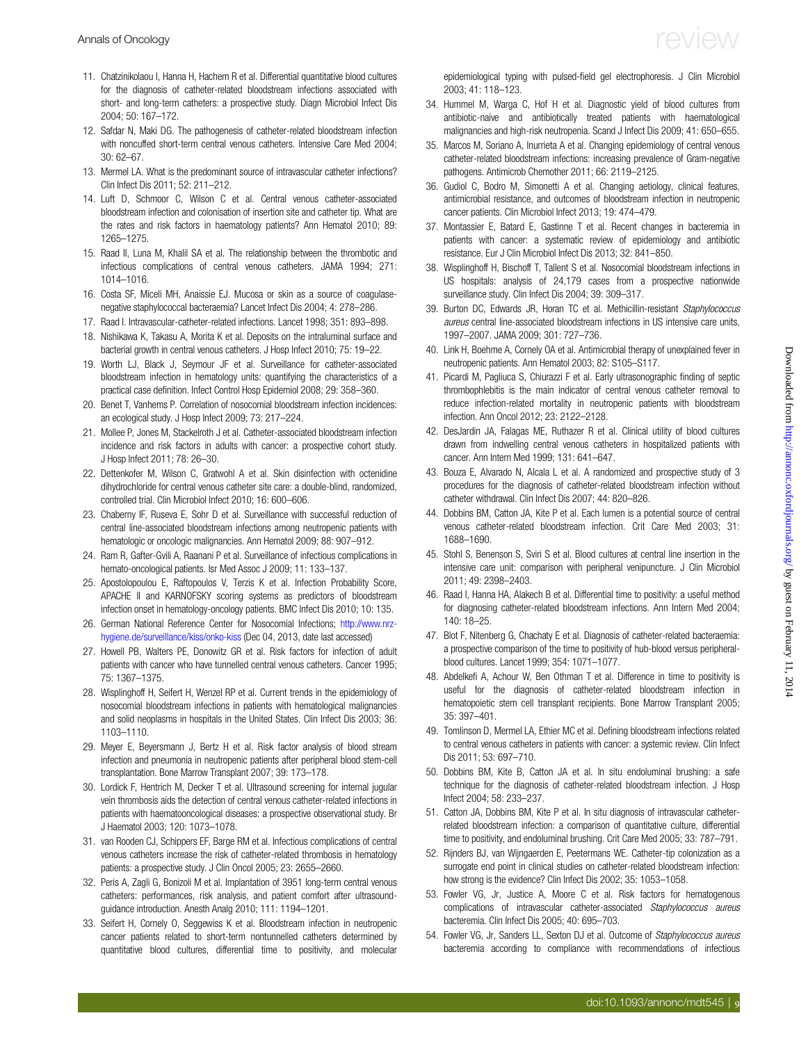- <span id="page-8-0"></span>11. Chatzinikolaou I, Hanna H, Hachem R et al. Differential quantitative blood cultures for the diagnosis of catheter-related bloodstream infections associated with short- and long-term catheters: a prospective study. Diagn Microbiol Infect Dis 2004; 50: 167–172.
- 12. Safdar N, Maki DG. The pathogenesis of catheter-related bloodstream infection with noncuffed short-term central venous catheters. Intensive Care Med 2004; 30: 62–67.
- 13. Mermel LA. What is the predominant source of intravascular catheter infections? Clin Infect Dis 2011; 52: 211–212.
- 14. Luft D, Schmoor C, Wilson C et al. Central venous catheter-associated bloodstream infection and colonisation of insertion site and catheter tip. What are the rates and risk factors in haematology patients? Ann Hematol 2010; 89: 1265–1275.
- 15. Raad II, Luna M, Khalil SA et al. The relationship between the thrombotic and infectious complications of central venous catheters. JAMA 1994; 271: 1014–1016.
- 16. Costa SF, Miceli MH, Anaissie EJ. Mucosa or skin as a source of coagulasenegative staphylococcal bacteraemia? Lancet Infect Dis 2004; 4: 278–286.
- 17. Raad I. Intravascular-catheter-related infections. Lancet 1998; 351: 893–898.
- 18. Nishikawa K, Takasu A, Morita K et al. Deposits on the intraluminal surface and bacterial growth in central venous catheters. J Hosp Infect 2010; 75: 19–22.
- 19. Worth LJ, Black J, Seymour JF et al. Surveillance for catheter-associated bloodstream infection in hematology units: quantifying the characteristics of a practical case definition. Infect Control Hosp Epidemiol 2008; 29: 358–360.
- 20. Benet T, Vanhems P. Correlation of nosocomial bloodstream infection incidences: an ecological study. J Hosp Infect 2009; 73: 217–224.
- 21. Mollee P, Jones M, Stackelroth J et al. Catheter-associated bloodstream infection incidence and risk factors in adults with cancer: a prospective cohort study. J Hosp Infect 2011; 78: 26–30.
- 22. Dettenkofer M, Wilson C, Gratwohl A et al. Skin disinfection with octenidine dihydrochloride for central venous catheter site care: a double-blind, randomized, controlled trial. Clin Microbiol Infect 2010; 16: 600–606.
- 23. Chaberny IF, Ruseva E, Sohr D et al. Surveillance with successful reduction of central line-associated bloodstream infections among neutropenic patients with hematologic or oncologic malignancies. Ann Hematol 2009; 88: 907–912.
- 24. Ram R, Gafter-Gvili A, Raanani P et al. Surveillance of infectious complications in hemato-oncological patients. Isr Med Assoc J 2009; 11: 133–137.
- 25. Apostolopoulou E, Raftopoulos V, Terzis K et al. Infection Probability Score, APACHE II and KARNOFSKY scoring systems as predictors of bloodstream infection onset in hematology-oncology patients. BMC Infect Dis 2010; 10: 135.
- 26. German National Reference Center for Nosocomial Infections; [http://www.nrz](http://www.nrz-hygiene.de/surveillance/kiss/onko-kiss)[hygiene.de/surveillance/kiss/onko-kiss](http://www.nrz-hygiene.de/surveillance/kiss/onko-kiss) (Dec 04, 2013, date last accessed)
- 27. Howell PB, Walters PE, Donowitz GR et al. Risk factors for infection of adult patients with cancer who have tunnelled central venous catheters. Cancer 1995; 75: 1367–1375.
- 28. Wisplinghoff H, Seifert H, Wenzel RP et al. Current trends in the epidemiology of nosocomial bloodstream infections in patients with hematological malignancies and solid neoplasms in hospitals in the United States. Clin Infect Dis 2003; 36: 1103–1110.
- 29. Meyer E, Beyersmann J, Bertz H et al. Risk factor analysis of blood stream infection and pneumonia in neutropenic patients after peripheral blood stem-cell transplantation. Bone Marrow Transplant 2007; 39: 173–178.
- 30. Lordick F, Hentrich M, Decker T et al. Ultrasound screening for internal jugular vein thrombosis aids the detection of central venous catheter-related infections in patients with haematooncological diseases: a prospective observational study. Br J Haematol 2003; 120: 1073–1078.
- 31. van Rooden CJ, Schippers EF, Barge RM et al. Infectious complications of central venous catheters increase the risk of catheter-related thrombosis in hematology patients: a prospective study. J Clin Oncol 2005; 23: 2655–2660.
- 32. Peris A, Zagli G, Bonizoli M et al. Implantation of 3951 long-term central venous catheters: performances, risk analysis, and patient comfort after ultrasoundguidance introduction. Anesth Analg 2010; 111: 1194–1201.
- 33. Seifert H, Cornely O, Seggewiss K et al. Bloodstream infection in neutropenic cancer patients related to short-term nontunnelled catheters determined by quantitative blood cultures, differential time to positivity, and molecular

epidemiological typing with pulsed-field gel electrophoresis. J Clin Microbiol 2003; 41: 118–123.

- 34. Hummel M, Warga C, Hof H et al. Diagnostic yield of blood cultures from antibiotic-naive and antibiotically treated patients with haematological malignancies and high-risk neutropenia. Scand J Infect Dis 2009; 41: 650–655.
- 35. Marcos M, Soriano A, Inurrieta A et al. Changing epidemiology of central venous catheter-related bloodstream infections: increasing prevalence of Gram-negative pathogens. Antimicrob Chemother 2011; 66: 2119–2125.
- 36. Gudiol C, Bodro M, Simonetti A et al. Changing aetiology, clinical features, antimicrobial resistance, and outcomes of bloodstream infection in neutropenic cancer patients. Clin Microbiol Infect 2013; 19: 474–479.
- 37. Montassier E, Batard E, Gastinne T et al. Recent changes in bacteremia in patients with cancer: a systematic review of epidemiology and antibiotic resistance. Eur J Clin Microbiol Infect Dis 2013; 32: 841–850.
- 38. Wisplinghoff H, Bischoff T, Tallent S et al. Nosocomial bloodstream infections in US hospitals: analysis of 24,179 cases from a prospective nationwide surveillance study. Clin Infect Dis 2004; 39: 309–317.
- 39. Burton DC, Edwards JR, Horan TC et al. Methicillin-resistant Staphylococcus aureus central line-associated bloodstream infections in US intensive care units, 1997–2007. JAMA 2009; 301: 727–736.
- 40. Link H, Boehme A, Cornely OA et al. Antimicrobial therapy of unexplained fever in neutropenic patients. Ann Hematol 2003; 82: S105–S117.
- 41. Picardi M, Pagliuca S, Chiurazzi F et al. Early ultrasonographic finding of septic thrombophlebitis is the main indicator of central venous catheter removal to reduce infection-related mortality in neutropenic patients with bloodstream infection. Ann Oncol 2012; 23: 2122–2128.
- 42. DesJardin JA, Falagas ME, Ruthazer R et al. Clinical utility of blood cultures drawn from indwelling central venous catheters in hospitalized patients with cancer. Ann Intern Med 1999; 131: 641–647.
- 43. Bouza E, Alvarado N, Alcala L et al. A randomized and prospective study of 3 procedures for the diagnosis of catheter-related bloodstream infection without catheter withdrawal. Clin Infect Dis 2007; 44: 820–826.
- 44. Dobbins BM, Catton JA, Kite P et al. Each lumen is a potential source of central venous catheter-related bloodstream infection. Crit Care Med 2003; 31: 1688–1690.
- 45. Stohl S, Benenson S, Sviri S et al. Blood cultures at central line insertion in the intensive care unit: comparison with peripheral venipuncture. J Clin Microbiol 2011; 49: 2398–2403.
- 46. Raad I, Hanna HA, Alakech B et al. Differential time to positivity: a useful method for diagnosing catheter-related bloodstream infections. Ann Intern Med 2004; 140: 18–25.
- 47. Blot F, Nitenberg G, Chachaty E et al. Diagnosis of catheter-related bacteraemia: a prospective comparison of the time to positivity of hub-blood versus peripheralblood cultures. Lancet 1999; 354: 1071–1077.
- 48. Abdelkefi A, Achour W, Ben Othman T et al. Difference in time to positivity is useful for the diagnosis of catheter-related bloodstream infection in hematopoietic stem cell transplant recipients. Bone Marrow Transplant 2005; 35: 397–401.
- 49. Tomlinson D, Mermel LA, Ethier MC et al. Defining bloodstream infections related to central venous catheters in patients with cancer: a systemic review. Clin Infect Dis 2011; 53: 697–710.
- 50. Dobbins BM, Kite B, Catton JA et al. In situ endoluminal brushing: a safe technique for the diagnosis of catheter-related bloodstream infection. J Hosp Infect 2004; 58: 233–237.
- 51. Catton JA, Dobbins BM, Kite P et al. In situ diagnosis of intravascular catheterrelated bloodstream infection: a comparison of quantitative culture, differential time to positivity, and endoluminal brushing. Crit Care Med 2005; 33: 787–791.
- 52. Rijnders BJ, van Wijngaerden E, Peetermans WE. Catheter-tip colonization as a surrogate end point in clinical studies on catheter-related bloodstream infection: how strong is the evidence? Clin Infect Dis 2002; 35: 1053–1058.
- 53. Fowler VG, Jr, Justice A, Moore C et al. Risk factors for hematogenous complications of intravascular catheter-associated Staphylococcus aureus bacteremia. Clin Infect Dis 2005; 40: 695–703.
- 54. Fowler VG, Jr, Sanders LL, Sexton DJ et al. Outcome of Staphylococcus aureus bacteremia according to compliance with recommendations of infectious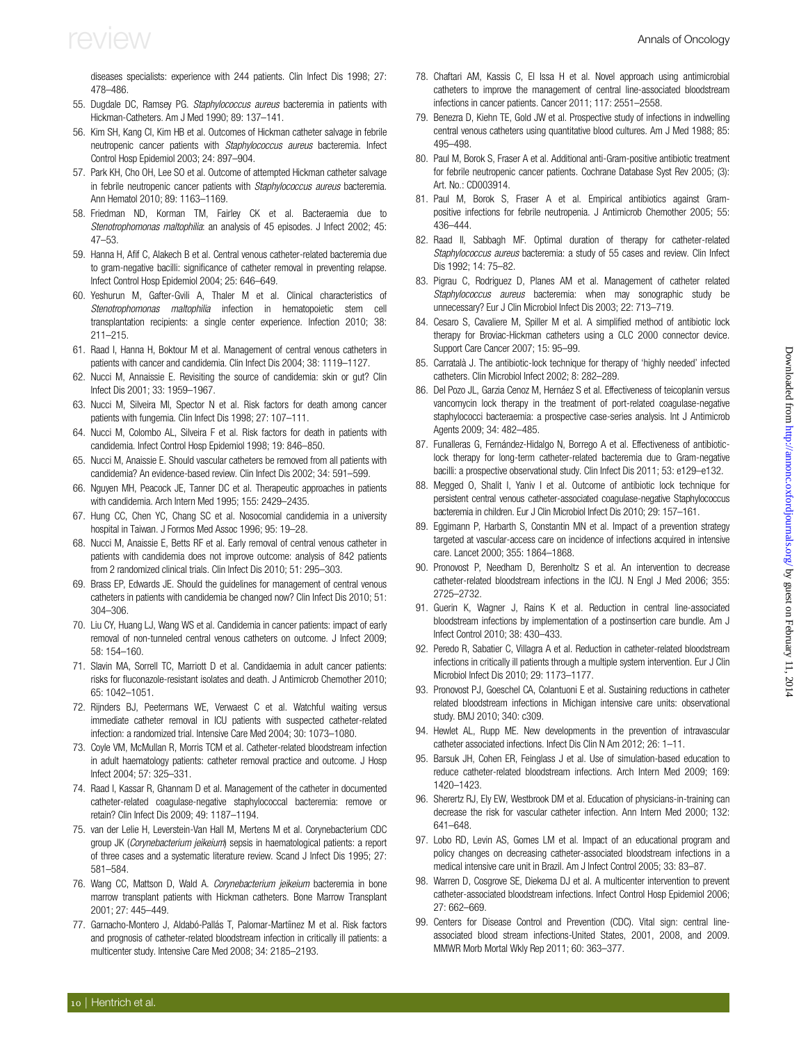<span id="page-9-0"></span>diseases specialists: experience with 244 patients. Clin Infect Dis 1998; 27: 478–486.

- 55. Dugdale DC, Ramsey PG. Staphylococcus aureus bacteremia in patients with Hickman-Catheters. Am J Med 1990; 89: 137–141.
- 56. Kim SH, Kang CI, Kim HB et al. Outcomes of Hickman catheter salvage in febrile neutropenic cancer patients with Staphylococcus aureus bacteremia. Infect Control Hosp Epidemiol 2003; 24: 897–904.
- 57. Park KH, Cho OH, Lee SO et al. Outcome of attempted Hickman catheter salvage in febrile neutropenic cancer patients with Staphylococcus aureus bacteremia. Ann Hematol 2010; 89: 1163–1169.
- 58. Friedman ND, Korman TM, Fairley CK et al. Bacteraemia due to Stenotrophomonas maltophilia: an analysis of 45 episodes. J Infect 2002; 45: 47–53.
- 59. Hanna H, Afif C, Alakech B et al. Central venous catheter-related bacteremia due to gram-negative bacilli: significance of catheter removal in preventing relapse. Infect Control Hosp Epidemiol 2004; 25: 646–649.
- 60. Yeshurun M, Gafter-Gvili A, Thaler M et al. Clinical characteristics of Stenotrophomonas maltophilia infection in hematopoietic stem cell transplantation recipients: a single center experience. Infection 2010; 38: 211–215.
- 61. Raad I, Hanna H, Boktour M et al. Management of central venous catheters in patients with cancer and candidemia. Clin Infect Dis 2004; 38: 1119–1127.
- 62. Nucci M, Annaissie E. Revisiting the source of candidemia: skin or gut? Clin Infect Dis 2001; 33: 1959–1967.
- 63. Nucci M, Silveira MI, Spector N et al. Risk factors for death among cancer patients with fungemia. Clin Infect Dis 1998; 27: 107–111.
- 64. Nucci M, Colombo AL, Silveira F et al. Risk factors for death in patients with candidemia. Infect Control Hosp Epidemiol 1998; 19: 846–850.
- 65. Nucci M, Anaissie E. Should vascular catheters be removed from all patients with candidemia? An evidence-based review. Clin Infect Dis 2002; 34: 591–599.
- 66. Nguyen MH, Peacock JE, Tanner DC et al. Therapeutic approaches in patients with candidemia. Arch Intern Med 1995; 155: 2429–2435.
- 67. Hung CC, Chen YC, Chang SC et al. Nosocomial candidemia in a university hospital in Taiwan. J Formos Med Assoc 1996; 95: 19–28.
- 68. Nucci M, Anaissie E, Betts RF et al. Early removal of central venous catheter in patients with candidemia does not improve outcome: analysis of 842 patients from 2 randomized clinical trials. Clin Infect Dis 2010; 51: 295–303.
- 69. Brass EP, Edwards JE. Should the guidelines for management of central venous catheters in patients with candidemia be changed now? Clin Infect Dis 2010; 51: 304–306.
- 70. Liu CY, Huang LJ, Wang WS et al. Candidemia in cancer patients: impact of early removal of non-tunneled central venous catheters on outcome. J Infect 2009; 58: 154–160.
- 71. Slavin MA, Sorrell TC, Marriott D et al. Candidaemia in adult cancer patients: risks for fluconazole-resistant isolates and death. J Antimicrob Chemother 2010; 65: 1042–1051.
- 72. Rijnders BJ, Peetermans WE, Verwaest C et al. Watchful waiting versus immediate catheter removal in ICU patients with suspected catheter-related infection: a randomized trial. Intensive Care Med 2004; 30: 1073–1080.
- 73. Coyle VM, McMullan R, Morris TCM et al. Catheter-related bloodstream infection in adult haematology patients: catheter removal practice and outcome. J Hosp Infect 2004; 57: 325–331.
- 74. Raad I, Kassar R, Ghannam D et al. Management of the catheter in documented catheter-related coagulase-negative staphylococcal bacteremia: remove or retain? Clin Infect Dis 2009; 49: 1187–1194.
- 75. van der Lelie H, Leverstein-Van Hall M, Mertens M et al. Corynebacterium CDC group JK (Corynebacterium jeikeium) sepsis in haematological patients: a report of three cases and a systematic literature review. Scand J Infect Dis 1995; 27: 581–584.
- 76. Wang CC, Mattson D, Wald A. Corynebacterium jeikeium bacteremia in bone marrow transplant patients with Hickman catheters. Bone Marrow Transplant 2001; 27: 445–449.
- 77. Garnacho-Montero J, Aldabó-Pallás T, Palomar-Martíinez M et al. Risk factors and prognosis of catheter-related bloodstream infection in critically ill patients: a multicenter study. Intensive Care Med 2008; 34: 2185–2193.
- 78. Chaftari AM, Kassis C, El Issa H et al. Novel approach using antimicrobial catheters to improve the management of central line-associated bloodstream infections in cancer patients. Cancer 2011; 117: 2551–2558.
- 79. Benezra D, Kiehn TE, Gold JW et al. Prospective study of infections in indwelling central venous catheters using quantitative blood cultures. Am J Med 1988; 85: 495–498.
- 80. Paul M, Borok S, Fraser A et al. Additional anti-Gram-positive antibiotic treatment for febrile neutropenic cancer patients. Cochrane Database Syst Rev 2005; (3): Art. No.: CD003914.
- 81. Paul M, Borok S, Fraser A et al. Empirical antibiotics against Grampositive infections for febrile neutropenia. J Antimicrob Chemother 2005; 55: 436–444.
- 82. Raad II, Sabbagh MF. Optimal duration of therapy for catheter-related Staphylococcus aureus bacteremia: a study of 55 cases and review. Clin Infect Dis 1992; 14: 75–82.
- 83. Pigrau C, Rodriguez D, Planes AM et al. Management of catheter related Staphylococcus aureus bacteremia: when may sonographic study be unnecessary? Eur J Clin Microbiol Infect Dis 2003; 22: 713–719.
- 84. Cesaro S, Cavaliere M, Spiller M et al. A simplified method of antibiotic lock therapy for Broviac-Hickman catheters using a CLC 2000 connector device. Support Care Cancer 2007; 15: 95–99.
- 85. Carratalà J. The antibiotic-lock technique for therapy of 'highly needed' infected catheters. Clin Microbiol Infect 2002; 8: 282–289.
- 86. Del Pozo JL, Garzia Cenoz M, Hernáez S et al. Effectiveness of teicoplanin versus vancomycin lock therapy in the treatment of port-related coagulase-negative staphylococci bacteraemia: a prospective case-series analysis. Int J Antimicrob Agents 2009; 34: 482–485.
- 87. Funalleras G, Fernández-Hidalgo N, Borrego A et al. Effectiveness of antibioticlock therapy for long-term catheter-related bacteremia due to Gram-negative bacilli: a prospective observational study. Clin Infect Dis 2011; 53: e129–e132.
- 88. Megged O, Shalit I, Yaniv I et al. Outcome of antibiotic lock technique for persistent central venous catheter-associated coagulase-negative Staphylococcus bacteremia in children. Eur J Clin Microbiol Infect Dis 2010; 29: 157–161.
- 89. Eggimann P, Harbarth S, Constantin MN et al. Impact of a prevention strategy targeted at vascular-access care on incidence of infections acquired in intensive care. Lancet 2000; 355: 1864–1868.
- 90. Pronovost P, Needham D, Berenholtz S et al. An intervention to decrease catheter-related bloodstream infections in the ICU. N Engl J Med 2006; 355: 2725–2732.
- 91. Guerin K, Wagner J, Rains K et al. Reduction in central line-associated bloodstream infections by implementation of a postinsertion care bundle. Am J Infect Control 2010; 38: 430–433.
- 92. Peredo R, Sabatier C, Villagra A et al. Reduction in catheter-related bloodstream infections in critically ill patients through a multiple system intervention. Eur J Clin Microbiol Infect Dis 2010; 29: 1173–1177.
- 93. Pronovost PJ, Goeschel CA, Colantuoni E et al. Sustaining reductions in catheter related bloodstream infections in Michigan intensive care units: observational study. BMJ 2010; 340: c309.
- 94. Hewlet AL, Rupp ME. New developments in the prevention of intravascular catheter associated infections. Infect Dis Clin N Am 2012; 26: 1–11.
- 95. Barsuk JH, Cohen ER, Feinglass J et al. Use of simulation-based education to reduce catheter-related bloodstream infections. Arch Intern Med 2009; 169: 1420–1423.
- 96. Sherertz RJ, Ely EW, Westbrook DM et al. Education of physicians-in-training can decrease the risk for vascular catheter infection. Ann Intern Med 2000; 132: 641–648.
- 97. Lobo RD, Levin AS, Gomes LM et al. Impact of an educational program and policy changes on decreasing catheter-associated bloodstream infections in a medical intensive care unit in Brazil. Am J Infect Control 2005; 33: 83–87.
- 98. Warren D, Cosgrove SE, Diekema DJ et al. A multicenter intervention to prevent catheter-associated bloodstream infections. Infect Control Hosp Epidemiol 2006; 27: 662–669.
- 99. Centers for Disease Control and Prevention (CDC). Vital sign: central lineassociated blood stream infections-United States, 2001, 2008, and 2009. MMWR Morb Mortal Wkly Rep 2011; 60: 363–377.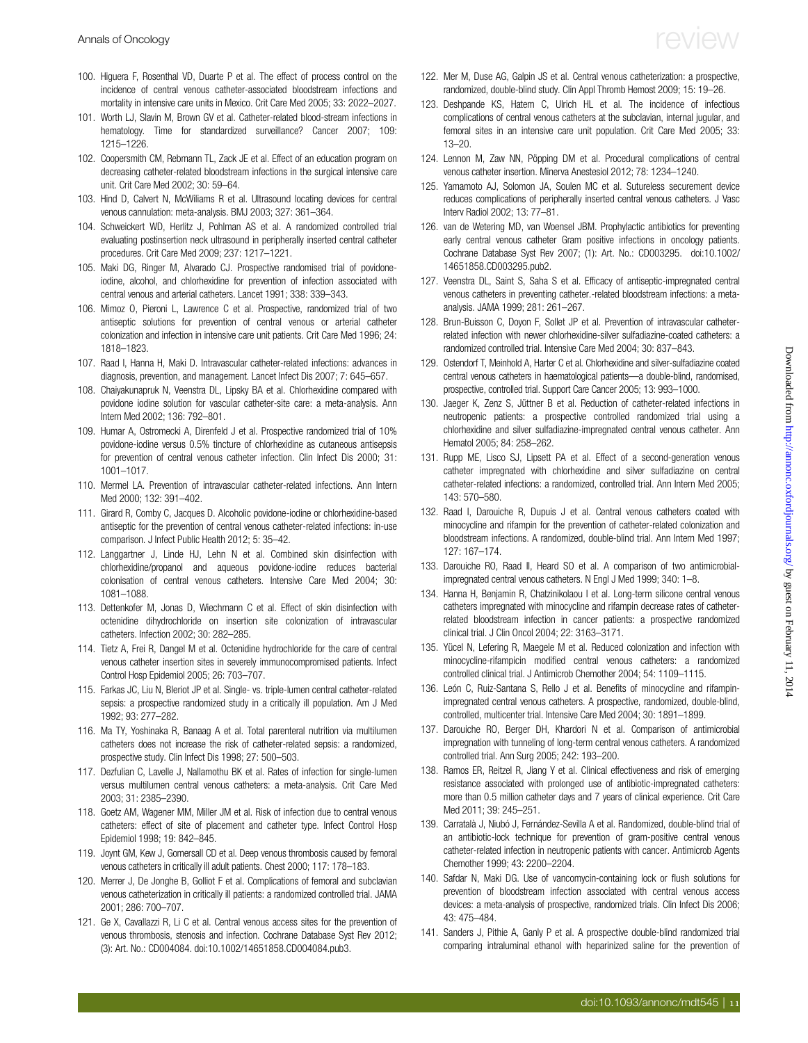- <span id="page-10-0"></span>100. Higuera F, Rosenthal VD, Duarte P et al. The effect of process control on the incidence of central venous catheter-associated bloodstream infections and mortality in intensive care units in Mexico. Crit Care Med 2005; 33: 2022–2027.
- 101. Worth LJ, Slavin M, Brown GV et al. Catheter-related blood-stream infections in hematology. Time for standardized surveillance? Cancer 2007; 109: 1215–1226.
- 102. Coopersmith CM, Rebmann TL, Zack JE et al. Effect of an education program on decreasing catheter-related bloodstream infections in the surgical intensive care unit. Crit Care Med 2002; 30: 59–64.
- 103. Hind D, Calvert N, McWiliams R et al. Ultrasound locating devices for central venous cannulation: meta-analysis. BMJ 2003; 327: 361–364.
- 104. Schweickert WD, Herlitz J, Pohlman AS et al. A randomized controlled trial evaluating postinsertion neck ultrasound in peripherally inserted central catheter procedures. Crit Care Med 2009; 237: 1217–1221.
- 105. Maki DG, Ringer M, Alvarado CJ. Prospective randomised trial of povidoneiodine, alcohol, and chlorhexidine for prevention of infection associated with central venous and arterial catheters. Lancet 1991; 338: 339–343.
- 106. Mimoz O, Pieroni L, Lawrence C et al. Prospective, randomized trial of two antiseptic solutions for prevention of central venous or arterial catheter colonization and infection in intensive care unit patients. Crit Care Med 1996; 24: 1818–1823.
- 107. Raad I, Hanna H, Maki D. Intravascular catheter-related infections: advances in diagnosis, prevention, and management. Lancet Infect Dis 2007; 7: 645–657.
- 108. Chaiyakunapruk N, Veenstra DL, Lipsky BA et al. Chlorhexidine compared with povidone iodine solution for vascular catheter-site care: a meta-analysis. Ann Intern Med 2002; 136: 792–801.
- 109. Humar A, Ostromecki A, Direnfeld J et al. Prospective randomized trial of 10% povidone-iodine versus 0.5% tincture of chlorhexidine as cutaneous antisepsis for prevention of central venous catheter infection. Clin Infect Dis 2000; 31: 1001–1017.
- 110. Mermel LA. Prevention of intravascular catheter-related infections. Ann Intern Med 2000; 132: 391–402.
- 111. Girard R, Comby C, Jacques D. Alcoholic povidone-iodine or chlorhexidine-based antiseptic for the prevention of central venous catheter-related infections: in-use comparison. J Infect Public Health 2012; 5: 35–42.
- 112. Langgartner J, Linde HJ, Lehn N et al. Combined skin disinfection with chlorhexidine/propanol and aqueous povidone-iodine reduces bacterial colonisation of central venous catheters. Intensive Care Med 2004; 30: 1081–1088.
- 113. Dettenkofer M, Jonas D, Wiechmann C et al. Effect of skin disinfection with octenidine dihydrochloride on insertion site colonization of intravascular catheters. Infection 2002; 30: 282–285.
- 114. Tietz A, Frei R, Dangel M et al. Octenidine hydrochloride for the care of central venous catheter insertion sites in severely immunocompromised patients. Infect Control Hosp Epidemiol 2005; 26: 703–707.
- 115. Farkas JC, Liu N, Bleriot JP et al. Single- vs. triple-lumen central catheter-related sepsis: a prospective randomized study in a critically ill population. Am J Med 1992; 93: 277–282.
- 116. Ma TY, Yoshinaka R, Banaag A et al. Total parenteral nutrition via multilumen catheters does not increase the risk of catheter-related sepsis: a randomized, prospective study. Clin Infect Dis 1998; 27: 500–503.
- 117. Dezfulian C, Lavelle J, Nallamothu BK et al. Rates of infection for single-lumen versus multilumen central venous catheters: a meta-analysis. Crit Care Med 2003; 31: 2385–2390.
- 118. Goetz AM, Wagener MM, Miller JM et al. Risk of infection due to central venous catheters: effect of site of placement and catheter type. Infect Control Hosp Epidemiol 1998; 19: 842–845.
- 119. Joynt GM, Kew J, Gomersall CD et al. Deep venous thrombosis caused by femoral venous catheters in critically ill adult patients. Chest 2000; 117: 178–183.
- 120. Merrer J, De Jonghe B, Golliot F et al. Complications of femoral and subclavian venous catheterization in critically ill patients: a randomized controlled trial. JAMA 2001; 286: 700–707.
- 121. Ge X, Cavallazzi R, Li C et al. Central venous access sites for the prevention of venous thrombosis, stenosis and infection. Cochrane Database Syst Rev 2012; (3): Art. No.: CD004084. doi:10.1002/14651858.CD004084.pub3.
- 122. Mer M, Duse AG, Galpin JS et al. Central venous catheterization: a prospective, randomized, double-blind study. Clin Appl Thromb Hemost 2009; 15: 19–26.
- 123. Deshpande KS, Hatem C, Ulrich HL et al. The incidence of infectious complications of central venous catheters at the subclavian, internal jugular, and femoral sites in an intensive care unit population. Crit Care Med 2005; 33: 13–20.
- 124. Lennon M, Zaw NN, Pöpping DM et al. Procedural complications of central venous catheter insertion. Minerva Anestesiol 2012; 78: 1234–1240.
- 125. Yamamoto AJ, Solomon JA, Soulen MC et al. Sutureless securement device reduces complications of peripherally inserted central venous catheters. J Vasc Interv Radiol 2002; 13: 77–81.
- 126. van de Wetering MD, van Woensel JBM. Prophylactic antibiotics for preventing early central venous catheter Gram positive infections in oncology patients. Cochrane Database Syst Rev 2007; (1): Art. No.: CD003295. doi:10.1002/ 14651858.CD003295.pub2.
- 127. Veenstra DL, Saint S, Saha S et al. Efficacy of antiseptic-impregnated central venous catheters in preventing catheter.-related bloodstream infections: a metaanalysis. JAMA 1999; 281: 261–267.
- 128. Brun-Buisson C, Doyon F, Sollet JP et al. Prevention of intravascular catheterrelated infection with newer chlorhexidine-silver sulfadiazine-coated catheters: a randomized controlled trial. Intensive Care Med 2004; 30: 837–843.
- 129. Ostendorf T, Meinhold A, Harter C et al. Chlorhexidine and silver-sulfadiazine coated central venous catheters in haematological patients—a double-blind, randomised, prospective, controlled trial. Support Care Cancer 2005; 13: 993–1000.
- 130. Jaeger K, Zenz S, Jüttner B et al. Reduction of catheter-related infections in neutropenic patients: a prospective controlled randomized trial using a chlorhexidine and silver sulfadiazine-impregnated central venous catheter. Ann Hematol 2005; 84: 258–262.
- 131. Rupp ME, Lisco SJ, Lipsett PA et al. Effect of a second-generation venous catheter impregnated with chlorhexidine and silver sulfadiazine on central catheter-related infections: a randomized, controlled trial. Ann Intern Med 2005; 143: 570–580.
- 132. Raad I, Darouiche R, Dupuis J et al. Central venous catheters coated with minocycline and rifampin for the prevention of catheter-related colonization and bloodstream infections. A randomized, double-blind trial. Ann Intern Med 1997; 127: 167–174.
- 133. Darouiche RO, Raad II, Heard SO et al. A comparison of two antimicrobialimpregnated central venous catheters. N Engl J Med 1999; 340: 1–8.
- 134. Hanna H, Benjamin R, Chatzinikolaou I et al. Long-term silicone central venous catheters impregnated with minocycline and rifampin decrease rates of catheterrelated bloodstream infection in cancer patients: a prospective randomized clinical trial. J Clin Oncol 2004; 22: 3163–3171.
- 135. Yücel N, Lefering R, Maegele M et al. Reduced colonization and infection with minocycline-rifampicin modified central venous catheters: a randomized controlled clinical trial. J Antimicrob Chemother 2004; 54: 1109–1115.
- 136. León C, Ruiz-Santana S, Rello J et al. Benefits of minocycline and rifampinimpregnated central venous catheters. A prospective, randomized, double-blind, controlled, multicenter trial. Intensive Care Med 2004; 30: 1891–1899.
- 137. Darouiche RO, Berger DH, Khardori N et al. Comparison of antimicrobial impregnation with tunneling of long-term central venous catheters. A randomized controlled trial. Ann Surg 2005; 242: 193–200.
- 138. Ramos ER, Reitzel R, Jiang Y et al. Clinical effectiveness and risk of emerging resistance associated with prolonged use of antibiotic-impregnated catheters: more than 0.5 million catheter days and 7 years of clinical experience. Crit Care Med 2011; 39: 245–251.
- 139. Carratalà J, Niubó J, Fernández-Sevilla A et al. Randomized, double-blind trial of an antibiotic-lock technique for prevention of gram-positive central venous catheter-related infection in neutropenic patients with cancer. Antimicrob Agents Chemother 1999; 43: 2200–2204.
- 140. Safdar N, Maki DG. Use of vancomycin-containing lock or flush solutions for prevention of bloodstream infection associated with central venous access devices: a meta-analysis of prospective, randomized trials. Clin Infect Dis 2006; 43: 475–484.
- 141. Sanders J, Pithie A, Ganly P et al. A prospective double-blind randomized trial comparing intraluminal ethanol with heparinized saline for the prevention of